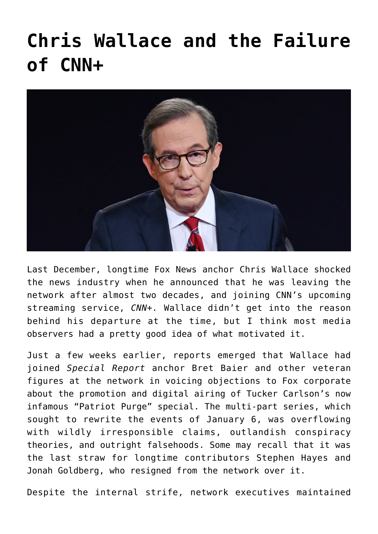## **[Chris Wallace and the Failure](https://bernardgoldberg.com/chris-wallace-and-the-failure-of-cnn/) [of CNN+](https://bernardgoldberg.com/chris-wallace-and-the-failure-of-cnn/)**



Last December, longtime Fox News anchor Chris Wallace shocked the news industry when he announced that he was leaving the network after almost two decades, and joining CNN's upcoming streaming service, *CNN+.* Wallace didn't get into the reason behind his departure at the time, but I think most media observers had a pretty good idea of what motivated it.

Just a few weeks earlier, reports emerged that Wallace had joined *Special Report* anchor Bret Baier and other veteran figures at the network in voicing objections to Fox corporate about the promotion and digital airing of Tucker Carlson's now infamous "Patriot Purge" special. The multi-part series, which sought to rewrite the events of January 6, was overflowing with wildly irresponsible claims, outlandish conspiracy theories, and outright falsehoods. Some may recall that it was the last straw for longtime contributors Stephen Hayes and Jonah Goldberg, who resigned from the network over it.

Despite the internal strife, network executives maintained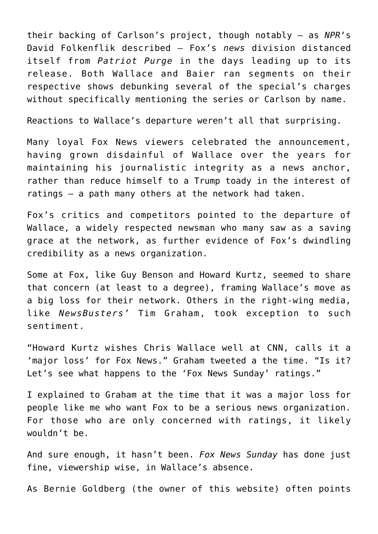their backing of Carlson's project, though notably — as *NPR*'s David Folkenflik [described](https://www.npr.org/2021/11/21/1052837157/fox-resignations-tucker-carlson-patriot-purge-documentary) — Fox's *news* division distanced itself from *Patriot Purge* in the days leading up to its release. Both Wallace and Baier ran segments on their respective shows debunking several of the special's charges without specifically mentioning the series or Carlson by name.

Reactions to Wallace's departure weren't all that surprising.

Many loyal Fox News viewers celebrated the announcement, having grown disdainful of Wallace over the years for maintaining his journalistic integrity as a news anchor, rather than reduce himself to a Trump toady in the interest of ratings — a path many others at the network had taken.

Fox's critics and competitors pointed to the departure of Wallace, a widely respected newsman who many saw as a saving grace at the network, as further evidence of Fox's dwindling credibility as a news organization.

Some at Fox, like Guy Benson and Howard Kurtz, seemed to share that concern (at least to a degree), framing Wallace's move as a big loss for their network. Others in the right-wing media, like *NewsBusters'* Tim Graham, took exception to such sentiment.

"Howard Kurtz wishes Chris Wallace well at CNN, calls it a 'major loss' for Fox News." Graham [tweeted](https://twitter.com/TimJGraham/status/1470083036930842625) a the time. "Is it? Let's see what happens to the 'Fox News Sunday' ratings."

I explained to Graham at the time that it was a major loss for people like me who want Fox to be a serious news organization. For those who are only concerned with ratings, it likely wouldn't be.

And sure enough, it hasn't been. *Fox News Sunday* has done just fine, viewership wise, in Wallace's absence.

As Bernie Goldberg (the owner of this website) often points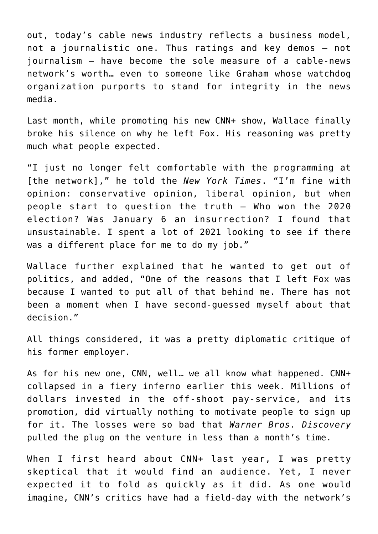out, today's cable news industry reflects a business model, not a journalistic one. Thus ratings and key demos — not journalism — have become the sole measure of a cable-news network's worth… even to someone like Graham whose watchdog organization purports to stand for integrity in the news media.

Last month, while promoting his new CNN+ show, Wallace finally broke his silence on why he left Fox. His reasoning was pretty much what people expected.

"I just no longer felt comfortable with the programming at [the network]," he told the *New York Times*. "I'm fine with opinion: conservative opinion, liberal opinion, but when people start to question the truth — Who won the 2020 election? Was January 6 an insurrection? I found that unsustainable. I spent a lot of 2021 looking to see if there was a different place for me to do my job."

Wallace further explained that he wanted to get out of politics, and added, "One of the reasons that I left Fox was because I wanted to put all of that behind me. There has not been a moment when I have second-guessed myself about that decision."

All things considered, it was a pretty diplomatic critique of his former employer.

As for his new one, CNN, well… we all know what happened. CNN+ collapsed in a fiery inferno earlier this week. Millions of dollars invested in the off-shoot pay-service, and its promotion, did virtually nothing to motivate people to sign up for it. The losses were so bad that *Warner Bros. Discovery* pulled the plug on the venture in less than a month's time.

When I first heard about CNN+ last year, I was pretty skeptical that it would find an audience. Yet, I never expected it to fold as quickly as it did. As one would imagine, CNN's critics have had a field-day with the network's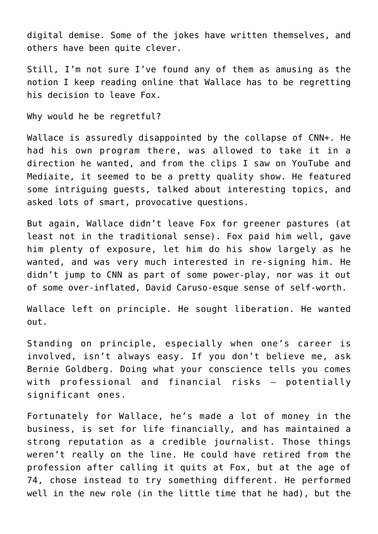digital demise. Some of the jokes have written themselves, and others have been quite clever.

Still, I'm not sure I've found any of them as amusing as the notion I keep reading online that Wallace has to be regretting his decision to leave Fox.

Why would he be regretful?

Wallace is assuredly disappointed by the collapse of CNN+. He had his own program there, was allowed to take it in a direction he wanted, and from the clips I saw on YouTube and Mediaite, it seemed to be a pretty quality show. He featured some intriguing guests, talked about interesting topics, and asked lots of smart, provocative questions.

But again, Wallace didn't leave Fox for greener pastures (at least not in the traditional sense). Fox paid him well, gave him plenty of exposure, let him do his show largely as he wanted, and was very much interested in re-signing him. He didn't jump to CNN as part of some power-play, nor was it out of some over-inflated, David Caruso-esque sense of self-worth.

Wallace left on principle. He sought liberation. He wanted out.

Standing on principle, especially when one's career is involved, isn't always easy. If you don't believe me, ask Bernie Goldberg. Doing what your conscience tells you comes with professional and financial risks — potentially significant ones.

Fortunately for Wallace, he's made a lot of money in the business, is set for life financially, and has maintained a strong reputation as a credible journalist. Those things weren't really on the line. He could have retired from the profession after calling it quits at Fox, but at the age of 74, chose instead to try something different. He performed well in the new role (in the little time that he had), but the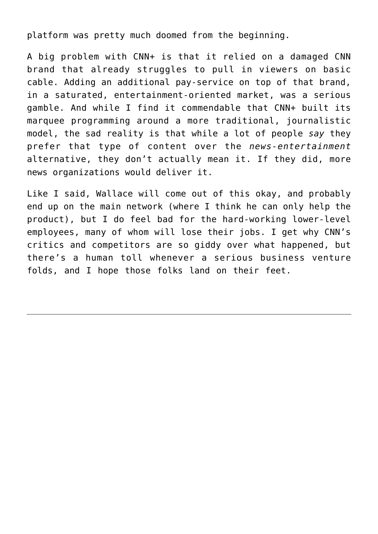platform was pretty much doomed from the beginning.

A big problem with CNN+ is that it relied on a damaged CNN brand that already struggles to pull in viewers on basic cable. Adding an additional pay-service on top of that brand, in a saturated, entertainment-oriented market, was a serious gamble. And while I find it commendable that CNN+ built its marquee programming around a more traditional, journalistic model, the sad reality is that while a lot of people *say* they prefer that type of content over the *news-entertainment* alternative, they don't actually mean it. If they did, more news organizations would deliver it.

Like I said, Wallace will come out of this okay, and probably end up on the main network (where I think he can only help the product), but I do feel bad for the hard-working lower-level employees, many of whom will lose their jobs. I get why CNN's critics and competitors are so giddy over what happened, but there's a human toll whenever a serious business venture folds, and I hope those folks land on their feet.